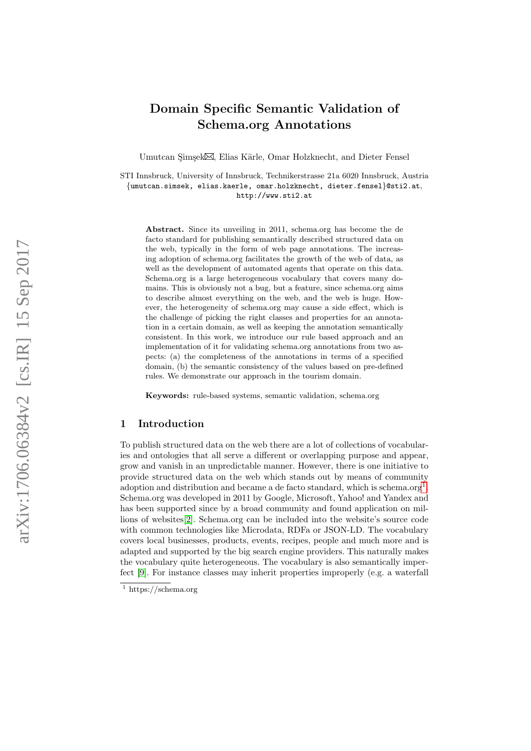# Domain Specific Semantic Validation of Schema.org Annotations

Umutcan Simşek⊠, Elias Kärle, Omar Holzknecht, and Dieter Fensel

STI Innsbruck, University of Innsbruck, Technikerstrasse 21a 6020 Innsbruck, Austria {umutcan.simsek, elias.kaerle, omar.holzknecht, dieter.fensel}@sti2.at, http://www.sti2.at

Abstract. Since its unveiling in 2011, schema.org has become the de facto standard for publishing semantically described structured data on the web, typically in the form of web page annotations. The increasing adoption of schema.org facilitates the growth of the web of data, as well as the development of automated agents that operate on this data. Schema.org is a large heterogeneous vocabulary that covers many domains. This is obviously not a bug, but a feature, since schema.org aims to describe almost everything on the web, and the web is huge. However, the heterogeneity of schema.org may cause a side effect, which is the challenge of picking the right classes and properties for an annotation in a certain domain, as well as keeping the annotation semantically consistent. In this work, we introduce our rule based approach and an implementation of it for validating schema.org annotations from two aspects: (a) the completeness of the annotations in terms of a specified domain, (b) the semantic consistency of the values based on pre-defined rules. We demonstrate our approach in the tourism domain.

Keywords: rule-based systems, semantic validation, schema.org

# 1 Introduction

To publish structured data on the web there are a lot of collections of vocabularies and ontologies that all serve a different or overlapping purpose and appear, grow and vanish in an unpredictable manner. However, there is one initiative to provide structured data on the web which stands out by means of community adoption and distribution and became a de facto standard, which is schema.org<sup>[1](#page-0-0)</sup>. Schema.org was developed in 2011 by Google, Microsoft, Yahoo! and Yandex and has been supported since by a broad community and found application on millions of websites[\[2\]](#page-11-0). Schema.org can be included into the website's source code with common technologies like Microdata, RDFa or JSON-LD. The vocabulary covers local businesses, products, events, recipes, people and much more and is adapted and supported by the big search engine providers. This naturally makes the vocabulary quite heterogeneous. The vocabulary is also semantically imperfect [\[9\]](#page-12-0). For instance classes may inherit properties improperly (e.g. a waterfall

<span id="page-0-0"></span><sup>1</sup> https://schema.org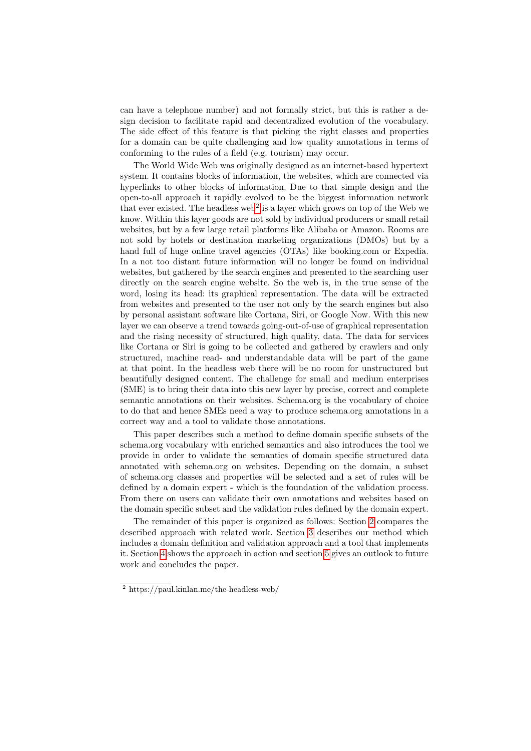can have a telephone number) and not formally strict, but this is rather a design decision to facilitate rapid and decentralized evolution of the vocabulary. The side effect of this feature is that picking the right classes and properties for a domain can be quite challenging and low quality annotations in terms of conforming to the rules of a field (e.g. tourism) may occur.

The World Wide Web was originally designed as an internet-based hypertext system. It contains blocks of information, the websites, which are connected via hyperlinks to other blocks of information. Due to that simple design and the open-to-all approach it rapidly evolved to be the biggest information network that ever existed. The headless web<sup>[2](#page-1-0)</sup> is a layer which grows on top of the Web we know. Within this layer goods are not sold by individual producers or small retail websites, but by a few large retail platforms like Alibaba or Amazon. Rooms are not sold by hotels or destination marketing organizations (DMOs) but by a hand full of huge online travel agencies (OTAs) like booking.com or Expedia. In a not too distant future information will no longer be found on individual websites, but gathered by the search engines and presented to the searching user directly on the search engine website. So the web is, in the true sense of the word, losing its head: its graphical representation. The data will be extracted from websites and presented to the user not only by the search engines but also by personal assistant software like Cortana, Siri, or Google Now. With this new layer we can observe a trend towards going-out-of-use of graphical representation and the rising necessity of structured, high quality, data. The data for services like Cortana or Siri is going to be collected and gathered by crawlers and only structured, machine read- and understandable data will be part of the game at that point. In the headless web there will be no room for unstructured but beautifully designed content. The challenge for small and medium enterprises (SME) is to bring their data into this new layer by precise, correct and complete semantic annotations on their websites. Schema.org is the vocabulary of choice to do that and hence SMEs need a way to produce schema.org annotations in a correct way and a tool to validate those annotations.

This paper describes such a method to define domain specific subsets of the schema.org vocabulary with enriched semantics and also introduces the tool we provide in order to validate the semantics of domain specific structured data annotated with schema.org on websites. Depending on the domain, a subset of schema.org classes and properties will be selected and a set of rules will be defined by a domain expert - which is the foundation of the validation process. From there on users can validate their own annotations and websites based on the domain specific subset and the validation rules defined by the domain expert.

The remainder of this paper is organized as follows: Section [2](#page-2-0) compares the described approach with related work. Section [3](#page-3-0) describes our method which includes a domain definition and validation approach and a tool that implements it. Section [4](#page-7-0) shows the approach in action and section [5](#page-10-0) gives an outlook to future work and concludes the paper.

<span id="page-1-0"></span><sup>2</sup> https://paul.kinlan.me/the-headless-web/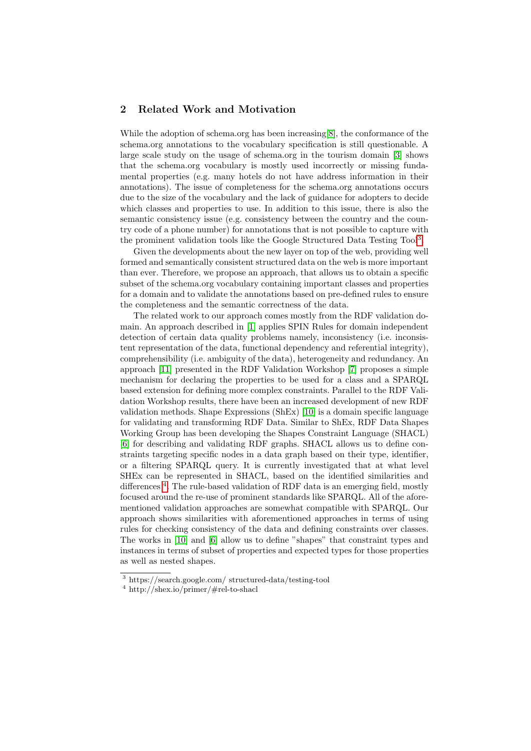# <span id="page-2-0"></span>2 Related Work and Motivation

While the adoption of schema.org has been increasing[\[8\]](#page-11-1), the conformance of the schema.org annotations to the vocabulary specification is still questionable. A large scale study on the usage of schema.org in the tourism domain [\[3\]](#page-11-2) shows that the schema.org vocabulary is mostly used incorrectly or missing fundamental properties (e.g. many hotels do not have address information in their annotations). The issue of completeness for the schema.org annotations occurs due to the size of the vocabulary and the lack of guidance for adopters to decide which classes and properties to use. In addition to this issue, there is also the semantic consistency issue (e.g. consistency between the country and the country code of a phone number) for annotations that is not possible to capture with the prominent validation tools like the Google Structured Data Testing Tool<sup>[3](#page-2-1)</sup>.

Given the developments about the new layer on top of the web, providing well formed and semantically consistent structured data on the web is more important than ever. Therefore, we propose an approach, that allows us to obtain a specific subset of the schema.org vocabulary containing important classes and properties for a domain and to validate the annotations based on pre-defined rules to ensure the completeness and the semantic correctness of the data.

The related work to our approach comes mostly from the RDF validation domain. An approach described in [\[1\]](#page-11-3) applies SPIN Rules for domain independent detection of certain data quality problems namely, inconsistency (i.e. inconsistent representation of the data, functional dependency and referential integrity), comprehensibility (i.e. ambiguity of the data), heterogeneity and redundancy. An approach [\[11\]](#page-12-1) presented in the RDF Validation Workshop [\[7\]](#page-11-4) proposes a simple mechanism for declaring the properties to be used for a class and a SPARQL based extension for defining more complex constraints. Parallel to the RDF Validation Workshop results, there have been an increased development of new RDF validation methods. Shape Expressions (ShEx) [\[10\]](#page-12-2) is a domain specific language for validating and transforming RDF Data. Similar to ShEx, RDF Data Shapes Working Group has been developing the Shapes Constraint Language (SHACL) [\[6\]](#page-11-5) for describing and validating RDF graphs. SHACL allows us to define constraints targeting specific nodes in a data graph based on their type, identifier, or a filtering SPARQL query. It is currently investigated that at what level SHEx can be represented in SHACL, based on the identified similarities and differences<sup>[4](#page-2-2)</sup>. The rule-based validation of RDF data is an emerging field, mostly focused around the re-use of prominent standards like SPARQL. All of the aforementioned validation approaches are somewhat compatible with SPARQL. Our approach shows similarities with aforementioned approaches in terms of using rules for checking consistency of the data and defining constraints over classes. The works in [\[10\]](#page-12-2) and [\[6\]](#page-11-5) allow us to define "shapes" that constraint types and instances in terms of subset of properties and expected types for those properties as well as nested shapes.

<span id="page-2-1"></span><sup>3</sup> https://search.google.com/ structured-data/testing-tool

<span id="page-2-2"></span><sup>4</sup> http://shex.io/primer/#rel-to-shacl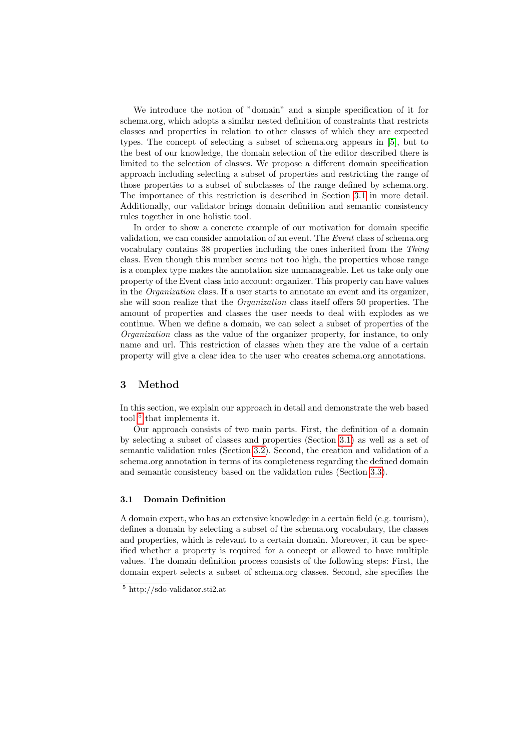We introduce the notion of "domain" and a simple specification of it for schema.org, which adopts a similar nested definition of constraints that restricts classes and properties in relation to other classes of which they are expected types. The concept of selecting a subset of schema.org appears in [\[5\]](#page-11-6), but to the best of our knowledge, the domain selection of the editor described there is limited to the selection of classes. We propose a different domain specification approach including selecting a subset of properties and restricting the range of those properties to a subset of subclasses of the range defined by schema.org. The importance of this restriction is described in Section [3.1](#page-3-1) in more detail. Additionally, our validator brings domain definition and semantic consistency rules together in one holistic tool.

In order to show a concrete example of our motivation for domain specific validation, we can consider annotation of an event. The Event class of schema.org vocabulary contains 38 properties including the ones inherited from the Thing class. Even though this number seems not too high, the properties whose range is a complex type makes the annotation size unmanageable. Let us take only one property of the Event class into account: organizer. This property can have values in the Organization class. If a user starts to annotate an event and its organizer, she will soon realize that the *Organization* class itself offers 50 properties. The amount of properties and classes the user needs to deal with explodes as we continue. When we define a domain, we can select a subset of properties of the Organization class as the value of the organizer property, for instance, to only name and url. This restriction of classes when they are the value of a certain property will give a clear idea to the user who creates schema.org annotations.

# <span id="page-3-0"></span>3 Method

In this section, we explain our approach in detail and demonstrate the web based tool<sup>[5](#page-3-2)</sup> that implements it.

Our approach consists of two main parts. First, the definition of a domain by selecting a subset of classes and properties (Section [3.1\)](#page-3-1) as well as a set of semantic validation rules (Section [3.2\)](#page-5-0). Second, the creation and validation of a schema.org annotation in terms of its completeness regarding the defined domain and semantic consistency based on the validation rules (Section [3.3\)](#page-6-0).

#### <span id="page-3-1"></span>3.1 Domain Definition

A domain expert, who has an extensive knowledge in a certain field (e.g. tourism), defines a domain by selecting a subset of the schema.org vocabulary, the classes and properties, which is relevant to a certain domain. Moreover, it can be specified whether a property is required for a concept or allowed to have multiple values. The domain definition process consists of the following steps: First, the domain expert selects a subset of schema.org classes. Second, she specifies the

<span id="page-3-2"></span><sup>5</sup> http://sdo-validator.sti2.at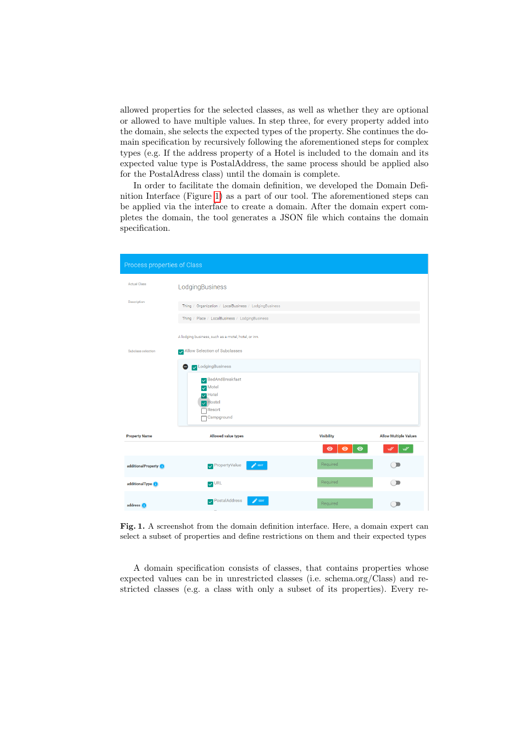allowed properties for the selected classes, as well as whether they are optional or allowed to have multiple values. In step three, for every property added into the domain, she selects the expected types of the property. She continues the domain specification by recursively following the aforementioned steps for complex types (e.g. If the address property of a Hotel is included to the domain and its expected value type is PostalAddress, the same process should be applied also for the PostalAdress class) until the domain is complete.

In order to facilitate the domain definition, we developed the Domain Definition Interface (Figure [1\)](#page-4-0) as a part of our tool. The aforementioned steps can be applied via the interface to create a domain. After the domain expert completes the domain, the tool generates a JSON file which contains the domain specification.



<span id="page-4-0"></span>Fig. 1. A screenshot from the domain definition interface. Here, a domain expert can select a subset of properties and define restrictions on them and their expected types

A domain specification consists of classes, that contains properties whose expected values can be in unrestricted classes (i.e. schema.org/Class) and restricted classes (e.g. a class with only a subset of its properties). Every re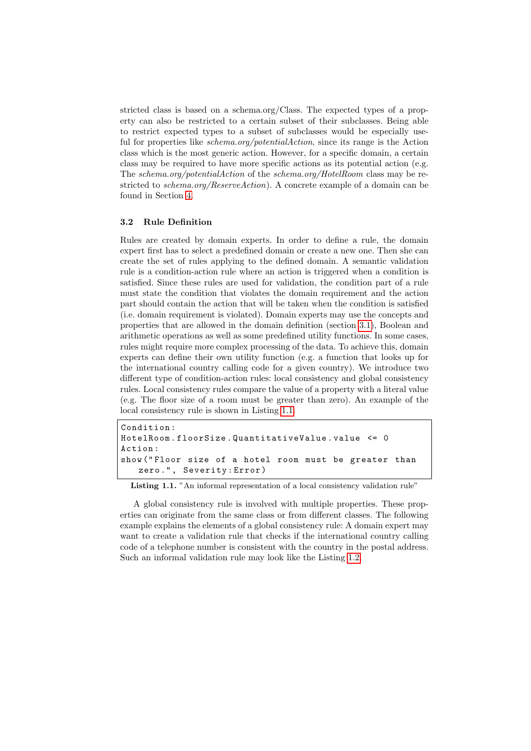stricted class is based on a schema.org/Class. The expected types of a property can also be restricted to a certain subset of their subclasses. Being able to restrict expected types to a subset of subclasses would be especially useful for properties like *schema.org/potentialAction*, since its range is the Action class which is the most generic action. However, for a specific domain, a certain class may be required to have more specific actions as its potential action (e.g. The schema.org/potentialAction of the schema.org/HotelRoom class may be restricted to *schema.org/ReserveAction*). A concrete example of a domain can be found in Section [4.](#page-7-0)

#### <span id="page-5-0"></span>3.2 Rule Definition

Rules are created by domain experts. In order to define a rule, the domain expert first has to select a predefined domain or create a new one. Then she can create the set of rules applying to the defined domain. A semantic validation rule is a condition-action rule where an action is triggered when a condition is satisfied. Since these rules are used for validation, the condition part of a rule must state the condition that violates the domain requirement and the action part should contain the action that will be taken when the condition is satisfied (i.e. domain requirement is violated). Domain experts may use the concepts and properties that are allowed in the domain definition (section [3.1\)](#page-3-1), Boolean and arithmetic operations as well as some predefined utility functions. In some cases, rules might require more complex processing of the data. To achieve this, domain experts can define their own utility function (e.g. a function that looks up for the international country calling code for a given country). We introduce two different type of condition-action rules: local consistency and global consistency rules. Local consistency rules compare the value of a property with a literal value (e.g. The floor size of a room must be greater than zero). An example of the local consistency rule is shown in Listing [1.1.](#page-5-1)

```
Condition :
HotelRoom . floorSize . QuantitativeValue . value <= 0
Action :
show (" Floor size of a hotel room must be greater than
   zero ." , Severity : Error )
```
Listing 1.1. "An informal representation of a local consistency validation rule"

A global consistency rule is involved with multiple properties. These properties can originate from the same class or from different classes. The following example explains the elements of a global consistency rule: A domain expert may want to create a validation rule that checks if the international country calling code of a telephone number is consistent with the country in the postal address. Such an informal validation rule may look like the Listing [1.2.](#page-6-1)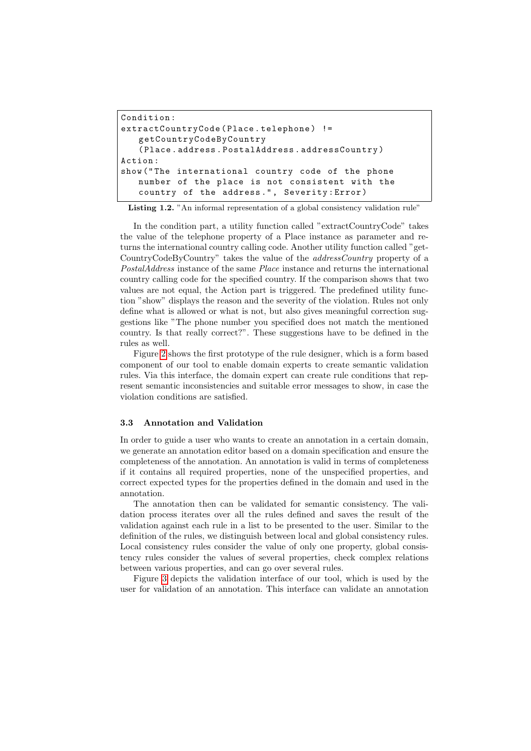```
Condition :
extractCountryCode (Place.telephone) !=
   getCountryCodeByCountry
   ( Place . address . PostalAddress . addressCountry )
Action :
show (" The international country code of the phone
   number of the place is not consistent with the
   country of the address.", Severity: Error)
```
Listing 1.2. "An informal representation of a global consistency validation rule"

In the condition part, a utility function called "extractCountryCode" takes the value of the telephone property of a Place instance as parameter and returns the international country calling code. Another utility function called "get-CountryCodeByCountry" takes the value of the addressCountry property of a PostalAddress instance of the same Place instance and returns the international country calling code for the specified country. If the comparison shows that two values are not equal, the Action part is triggered. The predefined utility function "show" displays the reason and the severity of the violation. Rules not only define what is allowed or what is not, but also gives meaningful correction suggestions like "The phone number you specified does not match the mentioned country. Is that really correct?". These suggestions have to be defined in the rules as well.

Figure [2](#page-7-1) shows the first prototype of the rule designer, which is a form based component of our tool to enable domain experts to create semantic validation rules. Via this interface, the domain expert can create rule conditions that represent semantic inconsistencies and suitable error messages to show, in case the violation conditions are satisfied.

#### <span id="page-6-0"></span>3.3 Annotation and Validation

In order to guide a user who wants to create an annotation in a certain domain, we generate an annotation editor based on a domain specification and ensure the completeness of the annotation. An annotation is valid in terms of completeness if it contains all required properties, none of the unspecified properties, and correct expected types for the properties defined in the domain and used in the annotation.

The annotation then can be validated for semantic consistency. The validation process iterates over all the rules defined and saves the result of the validation against each rule in a list to be presented to the user. Similar to the definition of the rules, we distinguish between local and global consistency rules. Local consistency rules consider the value of only one property, global consistency rules consider the values of several properties, check complex relations between various properties, and can go over several rules.

Figure [3](#page-8-0) depicts the validation interface of our tool, which is used by the user for validation of an annotation. This interface can validate an annotation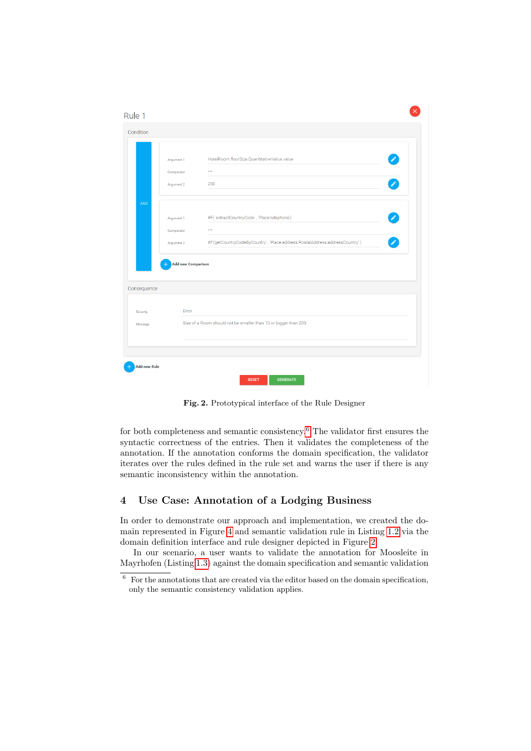|             | Argument 1                                                       | HotelRoom, floorSize, QuantitativeValue, value                              |  |
|-------------|------------------------------------------------------------------|-----------------------------------------------------------------------------|--|
|             | Comparator                                                       | $\leq$                                                                      |  |
|             | Argument 2                                                       | 200                                                                         |  |
| <b>AND</b>  |                                                                  |                                                                             |  |
|             | Argument 1                                                       | #F('extractCountryCode', 'Place.telephone')                                 |  |
|             | Comparator                                                       | $\leq$                                                                      |  |
|             | Argument 2                                                       | #F('getCountryCodeByCountry', 'Place.address.PostalAddress.addressCountry') |  |
| Consequence | <b>Add new Comparison</b>                                        |                                                                             |  |
| Severity    | Error                                                            |                                                                             |  |
| Message     | Size of a Room should not be smaller than 10 or bigger than 200. |                                                                             |  |
|             |                                                                  |                                                                             |  |

<span id="page-7-1"></span>Fig. 2. Prototypical interface of the Rule Designer

for both completeness and semantic consistency.<sup>[6](#page-7-2)</sup> The validator first ensures the syntactic correctness of the entries. Then it validates the completeness of the annotation. If the annotation conforms the domain specification, the validator iterates over the rules defined in the rule set and warns the user if there is any semantic inconsistency within the annotation.

# <span id="page-7-0"></span>4 Use Case: Annotation of a Lodging Business

In order to demonstrate our approach and implementation, we created the domain represented in Figure [4](#page-9-0) and semantic validation rule in Listing [1.2](#page-6-1) via the domain definition interface and rule designer depicted in Figure [2.](#page-7-1)

In our scenario, a user wants to validate the annotation for Moosleite in Mayrhofen (Listing [1.3\)](#page-10-1) against the domain specification and semantic validation

<span id="page-7-2"></span> $\overline{6}$  For the annotations that are created via the editor based on the domain specification, only the semantic consistency validation applies.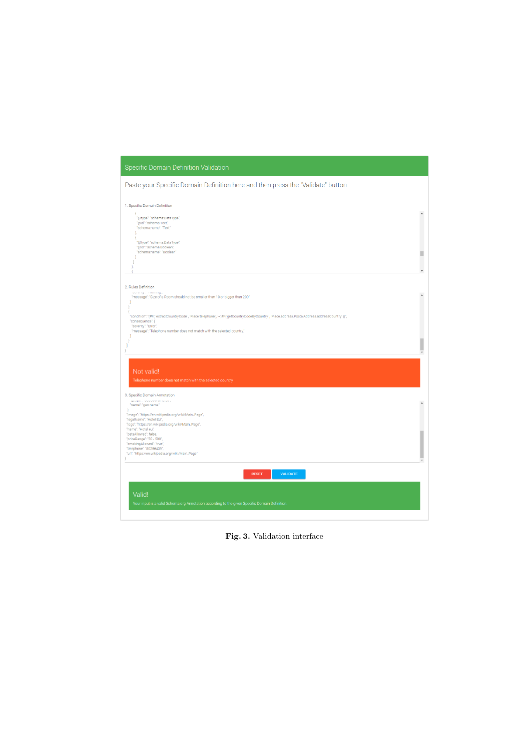| Specific Domain Definition Validation                                                                                                                                                                                                                                                                                                                                                                                                                                                                                                                                                                                                                                                                                                                                                                                        |
|------------------------------------------------------------------------------------------------------------------------------------------------------------------------------------------------------------------------------------------------------------------------------------------------------------------------------------------------------------------------------------------------------------------------------------------------------------------------------------------------------------------------------------------------------------------------------------------------------------------------------------------------------------------------------------------------------------------------------------------------------------------------------------------------------------------------------|
| Paste your Specific Domain Definition here and then press the "Validate" button.                                                                                                                                                                                                                                                                                                                                                                                                                                                                                                                                                                                                                                                                                                                                             |
| 1. Specific Domain Definition<br>"@type": "schema:DataType",<br>"@id": "schema:Text",<br>"schema:name": "Text"<br>"@type": "schema:DataType",<br>"@id": "schema:Boolean",<br>"schema:name": "Boolean"                                                                                                                                                                                                                                                                                                                                                                                                                                                                                                                                                                                                                        |
| 2. Rules Definition<br>www.component.com<br>"message": "Size of a Room should not be smaller than 10 or bigger than 200."<br>λ,<br>"condition": "(#F('extractCountryCode', 'Place.telephone'),'!=',#F('getCountryCodeByCountry', 'Place.address.PostalAddress.addressOountry'))",<br>"consequence": {<br>"severity": "Error",<br>"message": "Telephone number does not match with the selected country."                                                                                                                                                                                                                                                                                                                                                                                                                     |
| 1                                                                                                                                                                                                                                                                                                                                                                                                                                                                                                                                                                                                                                                                                                                                                                                                                            |
| Not valid!<br>Telephone number does not match with the selected country                                                                                                                                                                                                                                                                                                                                                                                                                                                                                                                                                                                                                                                                                                                                                      |
| 3. Specific Domain Annotation<br>$\label{eq:1} \underbrace{\mathbf{w}}\mathbf{v} \mathbf{y} \mathbf{y} \mathbf{c} + \mathbf{w} \mathbf{v} \mathbf{v} \mathbf{v} \mathbf{v} \mathbf{v} \mathbf{v} \mathbf{v} \mathbf{v} \mathbf{v} \mathbf{v} \mathbf{v} \mathbf{v} \mathbf{v} \mathbf{v} \mathbf{v} \mathbf{v} \mathbf{v} \mathbf{v} \mathbf{v} \mathbf{v} \mathbf{v} \mathbf{v} \mathbf{v} \mathbf{v} \mathbf{v} \mathbf{v} \mathbf{v} \mathbf{v} \mathbf{v$<br>"name": "geo name"<br>Y.<br>"image": "https://en.wikipedia.org/wiki/Main_Page",<br>"legalName": "Hotel EU",<br>"logo": "https://en.wikipedia.org/wiki/Main_Page",<br>"name": "Hotel eu",<br>"petsAllowed": false,<br>"priceRange": "30 - 500",<br>"smokingAllowed": "true",<br>"telephone": "80256409",<br>"url": "https://en.wikipedia.org/wiki/Main_Page" |
| <b>VALIDATE</b><br><b>RESET</b>                                                                                                                                                                                                                                                                                                                                                                                                                                                                                                                                                                                                                                                                                                                                                                                              |
| Valid!<br>Your input is a valid Schema.org Annotation according to the given Specific Domain Definition.                                                                                                                                                                                                                                                                                                                                                                                                                                                                                                                                                                                                                                                                                                                     |

<span id="page-8-0"></span>Fig. 3. Validation interface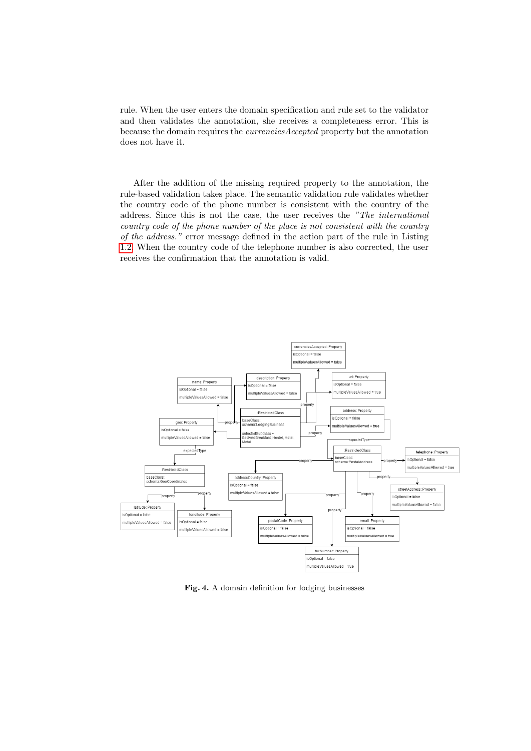rule. When the user enters the domain specification and rule set to the validator and then validates the annotation, she receives a completeness error. This is because the domain requires the currenciesAccepted property but the annotation does not have it.

After the addition of the missing required property to the annotation, the rule-based validation takes place. The semantic validation rule validates whether the country code of the phone number is consistent with the country of the address. Since this is not the case, the user receives the "The international country code of the phone number of the place is not consistent with the country of the address." error message defined in the action part of the rule in Listing [1.2.](#page-6-1) When the country code of the telephone number is also corrected, the user receives the confirmation that the annotation is valid.



<span id="page-9-0"></span>Fig. 4. A domain definition for lodging businesses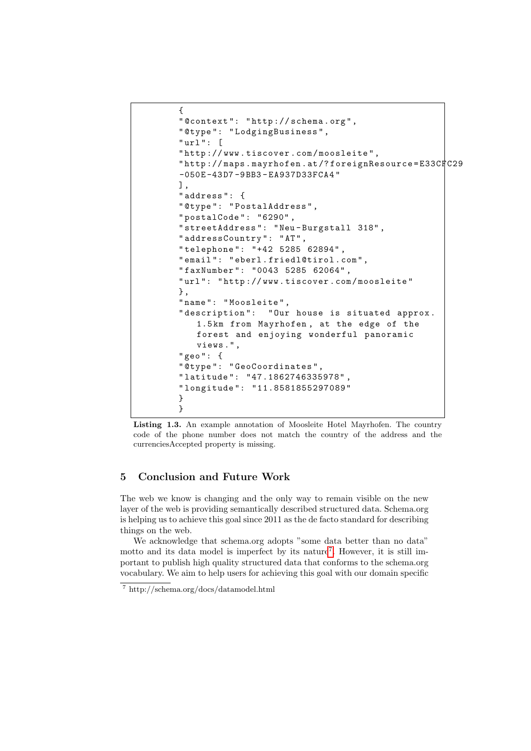```
{
" @context ": " http :// schema . org " ,
" @type ": " LodgingBusiness " ,
" url ": [
" http :// www . tiscover . com / moosleite " ,
"http://maps.mayrhofen.at/?foreignResource=E33CFC29
-050 E -43 D7 -9 BB3 - EA937D33FCA4 "
] ,
" address ": {
" @type ": " PostalAddress " ,
" postalCode ": "6290" ,
" streetAddress ": " Neu - Burgstall 318" ,
" addressCountry ": "AT",
" telephone ": "+42 5285 62894" ,
" email ": " eberl . friedl@tirol . com " ,
" faxNumber ": "0043 5285 62064" ,
" url ": " http :// www . tiscover . com / moosleite "
} ,
"name": "Moosleite",
"description": "Our house is situated approx.
   1.5 km from Mayrhofen , at the edge of the
   forest and enjoying wonderful panoramic
   views ." ,
" geo ": {
" @type ": " GeoCoordinates " ,
" latitude ": "47.1862746335978" ,
" longitude ": "11.8581855297089"
}
}
```
Listing 1.3. An example annotation of Moosleite Hotel Mayrhofen. The country code of the phone number does not match the country of the address and the currenciesAccepted property is missing.

# <span id="page-10-0"></span>5 Conclusion and Future Work

The web we know is changing and the only way to remain visible on the new layer of the web is providing semantically described structured data. Schema.org is helping us to achieve this goal since 2011 as the de facto standard for describing things on the web.

We acknowledge that schema.org adopts "some data better than no data" motto and its data model is imperfect by its nature<sup>[7](#page-10-2)</sup>. However, it is still important to publish high quality structured data that conforms to the schema.org vocabulary. We aim to help users for achieving this goal with our domain specific

<span id="page-10-2"></span><sup>7</sup> http://schema.org/docs/datamodel.html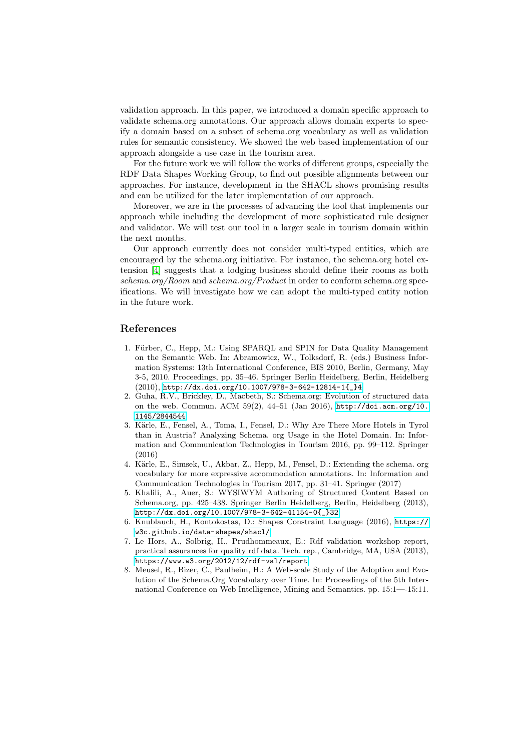validation approach. In this paper, we introduced a domain specific approach to validate schema.org annotations. Our approach allows domain experts to specify a domain based on a subset of schema.org vocabulary as well as validation rules for semantic consistency. We showed the web based implementation of our approach alongside a use case in the tourism area.

For the future work we will follow the works of different groups, especially the RDF Data Shapes Working Group, to find out possible alignments between our approaches. For instance, development in the SHACL shows promising results and can be utilized for the later implementation of our approach.

Moreover, we are in the processes of advancing the tool that implements our approach while including the development of more sophisticated rule designer and validator. We will test our tool in a larger scale in tourism domain within the next months.

Our approach currently does not consider multi-typed entities, which are encouraged by the schema.org initiative. For instance, the schema.org hotel extension [\[4\]](#page-11-7) suggests that a lodging business should define their rooms as both schema.org/Room and schema.org/Product in order to conform schema.org specifications. We will investigate how we can adopt the multi-typed entity notion in the future work.

#### References

- <span id="page-11-3"></span>1. Fürber, C., Hepp, M.: Using SPARQL and SPIN for Data Quality Management on the Semantic Web. In: Abramowicz, W., Tolksdorf, R. (eds.) Business Information Systems: 13th International Conference, BIS 2010, Berlin, Germany, May 3-5, 2010. Proceedings, pp. 35–46. Springer Berlin Heidelberg, Berlin, Heidelberg (2010), [http://dx.doi.org/10.1007/978-3-642-12814-1{\\_}4](http://dx.doi.org/10.1007/978-3-642-12814-1{_}4)
- <span id="page-11-0"></span>2. Guha, R.V., Brickley, D., Macbeth, S.: Schema.org: Evolution of structured data on the web. Commun. ACM 59(2),  $44-51$  (Jan 2016), [http://doi.acm.org/10.](http://doi.acm.org/10.1145/2844544) [1145/2844544](http://doi.acm.org/10.1145/2844544)
- <span id="page-11-2"></span>3. K¨arle, E., Fensel, A., Toma, I., Fensel, D.: Why Are There More Hotels in Tyrol than in Austria? Analyzing Schema. org Usage in the Hotel Domain. In: Information and Communication Technologies in Tourism 2016, pp. 99–112. Springer (2016)
- <span id="page-11-7"></span>4. Kärle, E., Simsek, U., Akbar, Z., Hepp, M., Fensel, D.: Extending the schema. org vocabulary for more expressive accommodation annotations. In: Information and Communication Technologies in Tourism 2017, pp. 31–41. Springer (2017)
- <span id="page-11-6"></span>5. Khalili, A., Auer, S.: WYSIWYM Authoring of Structured Content Based on Schema.org, pp. 425–438. Springer Berlin Heidelberg, Berlin, Heidelberg (2013), [http://dx.doi.org/10.1007/978-3-642-41154-0{\\_}32](http://dx.doi.org/10.1007/978-3-642-41154-0{_}32)
- <span id="page-11-5"></span>6. Knublauch, H., Kontokostas, D.: Shapes Constraint Language (2016), [https://](https://w3c.github.io/data-shapes/shacl/) [w3c.github.io/data-shapes/shacl/](https://w3c.github.io/data-shapes/shacl/)
- <span id="page-11-4"></span>7. Le Hors, A., Solbrig, H., Prudhommeaux, E.: Rdf validation workshop report, practical assurances for quality rdf data. Tech. rep., Cambridge, MA, USA (2013), <https://www.w3.org/2012/12/rdf-val/report>
- <span id="page-11-1"></span>8. Meusel, R., Bizer, C., Paulheim, H.: A Web-scale Study of the Adoption and Evolution of the Schema.Org Vocabulary over Time. In: Proceedings of the 5th International Conference on Web Intelligence, Mining and Semantics. pp. 15:1—-15:11.